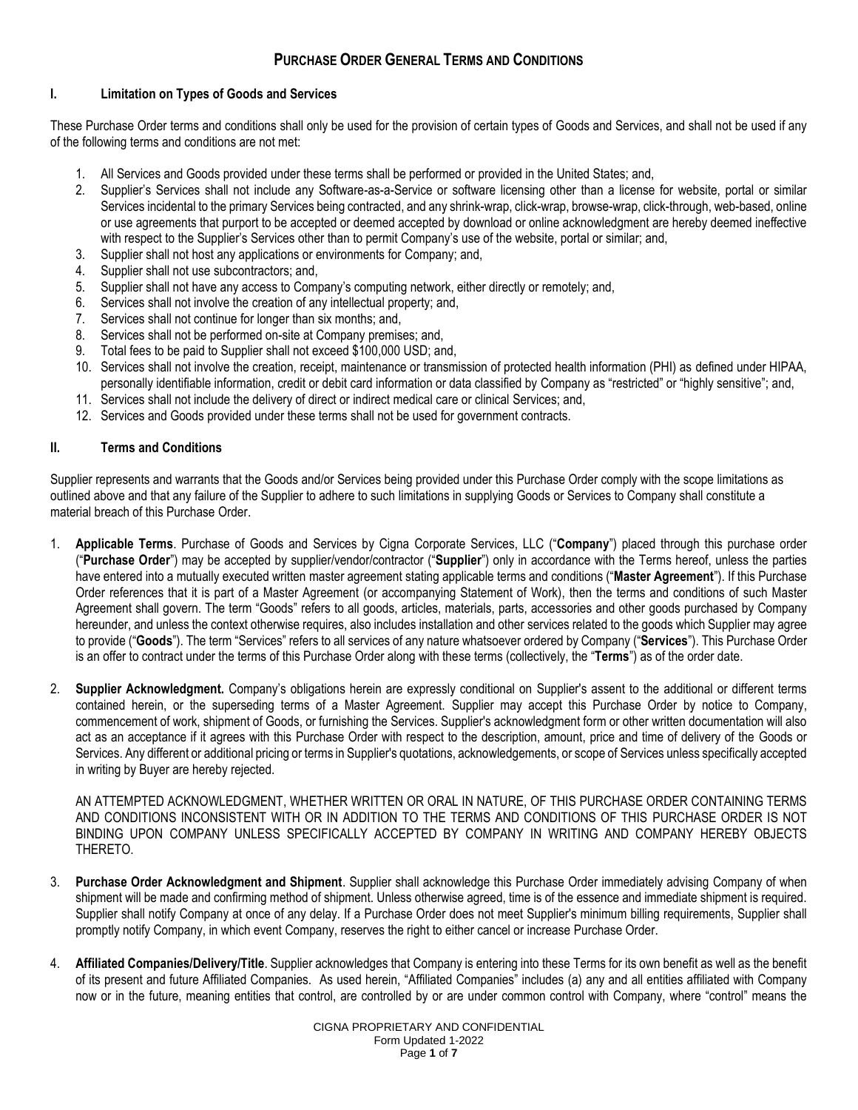# **I. Limitation on Types of Goods and Services**

These Purchase Order terms and conditions shall only be used for the provision of certain types of Goods and Services, and shall not be used if any of the following terms and conditions are not met:

- 1. All Services and Goods provided under these terms shall be performed or provided in the United States; and,
- 2. Supplier's Services shall not include any Software-as-a-Service or software licensing other than a license for website, portal or similar Services incidental to the primary Services being contracted, and any shrink-wrap, click-wrap, browse-wrap, click-through, web-based, online or use agreements that purport to be accepted or deemed accepted by download or online acknowledgment are hereby deemed ineffective with respect to the Supplier's Services other than to permit Company's use of the website, portal or similar; and,
- 3. Supplier shall not host any applications or environments for Company; and,
- 4. Supplier shall not use subcontractors; and,
- 5. Supplier shall not have any access to Company's computing network, either directly or remotely; and,
- 6. Services shall not involve the creation of any intellectual property; and,
- 7. Services shall not continue for longer than six months; and,
- 8. Services shall not be performed on-site at Company premises; and,
- 9. Total fees to be paid to Supplier shall not exceed \$100,000 USD; and,
- 10. Services shall not involve the creation, receipt, maintenance or transmission of protected health information (PHI) as defined under HIPAA, personally identifiable information, credit or debit card information or data classified by Company as "restricted" or "highly sensitive"; and,
- 11. Services shall not include the delivery of direct or indirect medical care or clinical Services; and,
- 12. Services and Goods provided under these terms shall not be used for government contracts.

# **II. Terms and Conditions**

Supplier represents and warrants that the Goods and/or Services being provided under this Purchase Order comply with the scope limitations as outlined above and that any failure of the Supplier to adhere to such limitations in supplying Goods or Services to Company shall constitute a material breach of this Purchase Order.

- 1. **Applicable Terms**. Purchase of Goods and Services by Cigna Corporate Services, LLC ("**Company**") placed through this purchase order ("**Purchase Order**") may be accepted by supplier/vendor/contractor ("**Supplier**") only in accordance with the Terms hereof, unless the parties have entered into a mutually executed written master agreement stating applicable terms and conditions ("**Master Agreement**"). If this Purchase Order references that it is part of a Master Agreement (or accompanying Statement of Work), then the terms and conditions of such Master Agreement shall govern. The term "Goods" refers to all goods, articles, materials, parts, accessories and other goods purchased by Company hereunder, and unless the context otherwise requires, also includes installation and other services related to the goods which Supplier may agree to provide ("**Goods**"). The term "Services" refers to all services of any nature whatsoever ordered by Company ("**Services**"). This Purchase Order is an offer to contract under the terms of this Purchase Order along with these terms (collectively, the "**Terms**") as of the order date.
- 2. **Supplier Acknowledgment.** Company's obligations herein are expressly conditional on Supplier's assent to the additional or different terms contained herein, or the superseding terms of a Master Agreement. Supplier may accept this Purchase Order by notice to Company, commencement of work, shipment of Goods, or furnishing the Services. Supplier's acknowledgment form or other written documentation will also act as an acceptance if it agrees with this Purchase Order with respect to the description, amount, price and time of delivery of the Goods or Services. Any different or additional pricing or terms in Supplier's quotations, acknowledgements, or scope of Services unless specifically accepted in writing by Buyer are hereby rejected.

AN ATTEMPTED ACKNOWLEDGMENT, WHETHER WRITTEN OR ORAL IN NATURE, OF THIS PURCHASE ORDER CONTAINING TERMS AND CONDITIONS INCONSISTENT WITH OR IN ADDITION TO THE TERMS AND CONDITIONS OF THIS PURCHASE ORDER IS NOT BINDING UPON COMPANY UNLESS SPECIFICALLY ACCEPTED BY COMPANY IN WRITING AND COMPANY HEREBY OBJECTS THERETO.

- 3. **Purchase Order Acknowledgment and Shipment**. Supplier shall acknowledge this Purchase Order immediately advising Company of when shipment will be made and confirming method of shipment. Unless otherwise agreed, time is of the essence and immediate shipment is required. Supplier shall notify Company at once of any delay. If a Purchase Order does not meet Supplier's minimum billing requirements, Supplier shall promptly notify Company, in which event Company, reserves the right to either cancel or increase Purchase Order.
- 4. **Affiliated Companies/Delivery/Title**. Supplier acknowledges that Company is entering into these Terms for its own benefit as well as the benefit of its present and future Affiliated Companies. As used herein, "Affiliated Companies" includes (a) any and all entities affiliated with Company now or in the future, meaning entities that control, are controlled by or are under common control with Company, where "control" means the

CIGNA PROPRIETARY AND CONFIDENTIAL Form Updated 1-2022 Page **1** of **7**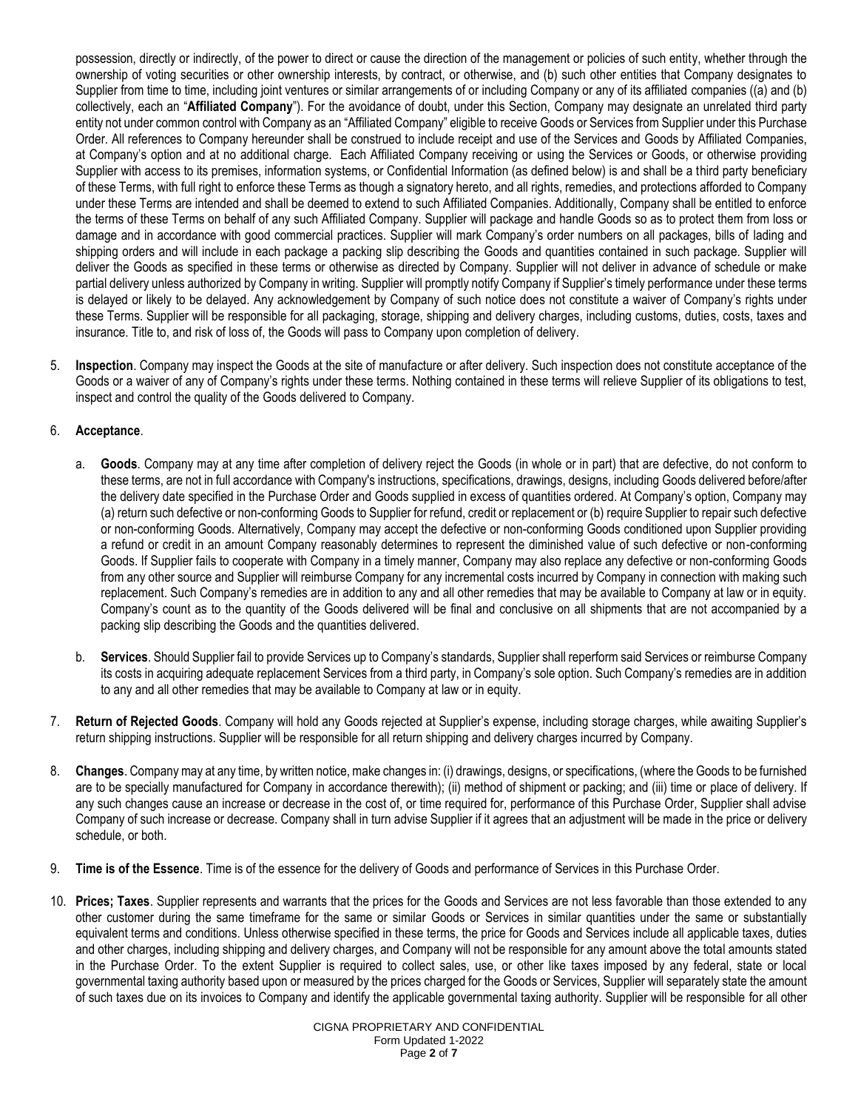possession, directly or indirectly, of the power to direct or cause the direction of the management or policies of such entity, whether through the ownership of voting securities or other ownership interests, by contract, or otherwise, and (b) such other entities that Company designates to Supplier from time to time, including joint ventures or similar arrangements of or including Company or any of its affiliated companies ((a) and (b) collectively, each an "**Affiliated Company**"). For the avoidance of doubt, under this Section, Company may designate an unrelated third party entity not under common control with Company as an "Affiliated Company" eligible to receive Goods or Services from Supplier under this Purchase Order. All references to Company hereunder shall be construed to include receipt and use of the Services and Goods by Affiliated Companies, at Company's option and at no additional charge. Each Affiliated Company receiving or using the Services or Goods, or otherwise providing Supplier with access to its premises, information systems, or Confidential Information (as defined below) is and shall be a third party beneficiary of these Terms, with full right to enforce these Terms as though a signatory hereto, and all rights, remedies, and protections afforded to Company under these Terms are intended and shall be deemed to extend to such Affiliated Companies. Additionally, Company shall be entitled to enforce the terms of these Terms on behalf of any such Affiliated Company. Supplier will package and handle Goods so as to protect them from loss or damage and in accordance with good commercial practices. Supplier will mark Company's order numbers on all packages, bills of lading and shipping orders and will include in each package a packing slip describing the Goods and quantities contained in such package. Supplier will deliver the Goods as specified in these terms or otherwise as directed by Company. Supplier will not deliver in advance of schedule or make partial delivery unless authorized by Company in writing. Supplier will promptly notify Company if Supplier's timely performance under these terms is delayed or likely to be delayed. Any acknowledgement by Company of such notice does not constitute a waiver of Company's rights under these Terms. Supplier will be responsible for all packaging, storage, shipping and delivery charges, including customs, duties, costs, taxes and insurance. Title to, and risk of loss of, the Goods will pass to Company upon completion of delivery.

5. **Inspection**. Company may inspect the Goods at the site of manufacture or after delivery. Such inspection does not constitute acceptance of the Goods or a waiver of any of Company's rights under these terms. Nothing contained in these terms will relieve Supplier of its obligations to test, inspect and control the quality of the Goods delivered to Company.

# 6. **Acceptance**.

- a. **Goods**. Company may at any time after completion of delivery reject the Goods (in whole or in part) that are defective, do not conform to these terms, are not in full accordance with Company's instructions, specifications, drawings, designs, including Goods delivered before/after the delivery date specified in the Purchase Order and Goods supplied in excess of quantities ordered. At Company's option, Company may (a) return such defective or non-conforming Goods to Supplier for refund, credit or replacement or (b) require Supplier to repair such defective or non-conforming Goods. Alternatively, Company may accept the defective or non-conforming Goods conditioned upon Supplier providing a refund or credit in an amount Company reasonably determines to represent the diminished value of such defective or non-conforming Goods. If Supplier fails to cooperate with Company in a timely manner, Company may also replace any defective or non-conforming Goods from any other source and Supplier will reimburse Company for any incremental costs incurred by Company in connection with making such replacement. Such Company's remedies are in addition to any and all other remedies that may be available to Company at law or in equity. Company's count as to the quantity of the Goods delivered will be final and conclusive on all shipments that are not accompanied by a packing slip describing the Goods and the quantities delivered.
- b. **Services**. Should Supplier fail to provide Services up to Company's standards, Supplier shall reperform said Services or reimburse Company its costs in acquiring adequate replacement Services from a third party, in Company's sole option. Such Company's remedies are in addition to any and all other remedies that may be available to Company at law or in equity.
- 7. **Return of Rejected Goods**. Company will hold any Goods rejected at Supplier's expense, including storage charges, while awaiting Supplier's return shipping instructions. Supplier will be responsible for all return shipping and delivery charges incurred by Company.
- 8. **Changes**. Company may at any time, by written notice, make changes in: (i) drawings, designs, or specifications, (where the Goods to be furnished are to be specially manufactured for Company in accordance therewith); (ii) method of shipment or packing; and (iii) time or place of delivery. If any such changes cause an increase or decrease in the cost of, or time required for, performance of this Purchase Order, Supplier shall advise Company of such increase or decrease. Company shall in turn advise Supplier if it agrees that an adjustment will be made in the price or delivery schedule, or both.
- 9. **Time is of the Essence**. Time is of the essence for the delivery of Goods and performance of Services in this Purchase Order.
- 10. **Prices; Taxes**. Supplier represents and warrants that the prices for the Goods and Services are not less favorable than those extended to any other customer during the same timeframe for the same or similar Goods or Services in similar quantities under the same or substantially equivalent terms and conditions. Unless otherwise specified in these terms, the price for Goods and Services include all applicable taxes, duties and other charges, including shipping and delivery charges, and Company will not be responsible for any amount above the total amounts stated in the Purchase Order. To the extent Supplier is required to collect sales, use, or other like taxes imposed by any federal, state or local governmental taxing authority based upon or measured by the prices charged for the Goods or Services, Supplier will separately state the amount of such taxes due on its invoices to Company and identify the applicable governmental taxing authority. Supplier will be responsible for all other

CIGNA PROPRIETARY AND CONFIDENTIAL Form Updated 1-2022 Page **2** of **7**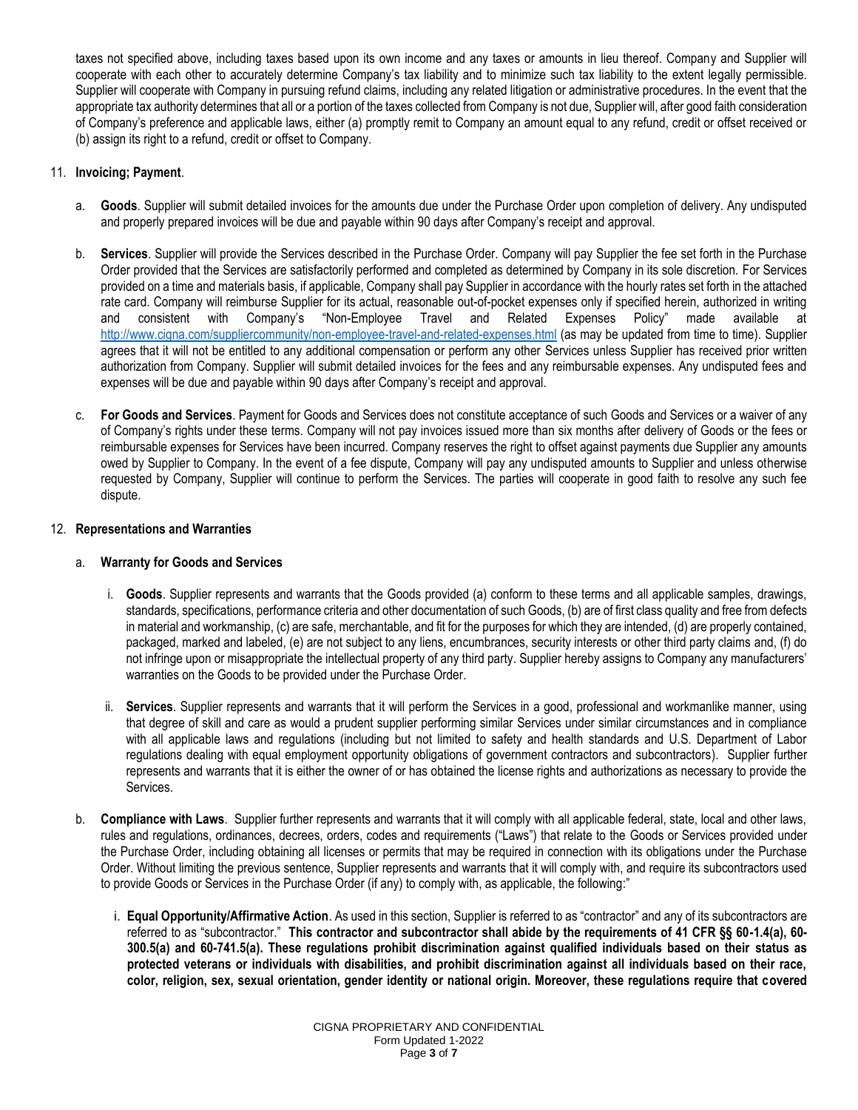taxes not specified above, including taxes based upon its own income and any taxes or amounts in lieu thereof. Company and Supplier will cooperate with each other to accurately determine Company's tax liability and to minimize such tax liability to the extent legally permissible. Supplier will cooperate with Company in pursuing refund claims, including any related litigation or administrative procedures. In the event that the appropriate tax authority determines that all or a portion of the taxes collected from Company is not due, Supplier will, after good faith consideration of Company's preference and applicable laws, either (a) promptly remit to Company an amount equal to any refund, credit or offset received or (b) assign its right to a refund, credit or offset to Company.

# 11. **Invoicing; Payment**.

- a. **Goods**. Supplier will submit detailed invoices for the amounts due under the Purchase Order upon completion of delivery. Any undisputed and properly prepared invoices will be due and payable within 90 days after Company's receipt and approval.
- b. **Services**. Supplier will provide the Services described in the Purchase Order. Company will pay Supplier the fee set forth in the Purchase Order provided that the Services are satisfactorily performed and completed as determined by Company in its sole discretion. For Services provided on a time and materials basis, if applicable, Company shall pay Supplier in accordance with the hourly rates set forth in the attached rate card. Company will reimburse Supplier for its actual, reasonable out-of-pocket expenses only if specified herein, authorized in writing and consistent with Company's "Non-Employee Travel and Related Expenses Policy" made available at <http://www.cigna.com/suppliercommunity/non-employee-travel-and-related-expenses.html> (as may be updated from time to time). Supplier agrees that it will not be entitled to any additional compensation or perform any other Services unless Supplier has received prior written authorization from Company. Supplier will submit detailed invoices for the fees and any reimbursable expenses. Any undisputed fees and expenses will be due and payable within 90 days after Company's receipt and approval.
- c. **For Goods and Services**. Payment for Goods and Services does not constitute acceptance of such Goods and Services or a waiver of any of Company's rights under these terms. Company will not pay invoices issued more than six months after delivery of Goods or the fees or reimbursable expenses for Services have been incurred. Company reserves the right to offset against payments due Supplier any amounts owed by Supplier to Company. In the event of a fee dispute, Company will pay any undisputed amounts to Supplier and unless otherwise requested by Company, Supplier will continue to perform the Services. The parties will cooperate in good faith to resolve any such fee dispute.

#### 12. **Representations and Warranties**

## a. **Warranty for Goods and Services**

- i. **Goods**. Supplier represents and warrants that the Goods provided (a) conform to these terms and all applicable samples, drawings, standards, specifications, performance criteria and other documentation of such Goods, (b) are of first class quality and free from defects in material and workmanship, (c) are safe, merchantable, and fit for the purposes for which they are intended, (d) are properly contained, packaged, marked and labeled, (e) are not subject to any liens, encumbrances, security interests or other third party claims and, (f) do not infringe upon or misappropriate the intellectual property of any third party. Supplier hereby assigns to Company any manufacturers' warranties on the Goods to be provided under the Purchase Order.
- ii. **Services**. Supplier represents and warrants that it will perform the Services in a good, professional and workmanlike manner, using that degree of skill and care as would a prudent supplier performing similar Services under similar circumstances and in compliance with all applicable laws and regulations (including but not limited to safety and health standards and U.S. Department of Labor regulations dealing with equal employment opportunity obligations of government contractors and subcontractors). Supplier further represents and warrants that it is either the owner of or has obtained the license rights and authorizations as necessary to provide the Services.
- b. **Compliance with Laws**. Supplier further represents and warrants that it will comply with all applicable federal, state, local and other laws, rules and regulations, ordinances, decrees, orders, codes and requirements ("Laws") that relate to the Goods or Services provided under the Purchase Order, including obtaining all licenses or permits that may be required in connection with its obligations under the Purchase Order. Without limiting the previous sentence, Supplier represents and warrants that it will comply with, and require its subcontractors used to provide Goods or Services in the Purchase Order (if any) to comply with, as applicable, the following:"
	- i. **Equal Opportunity/Affirmative Action**. As used in this section, Supplier is referred to as "contractor" and any of its subcontractors are referred to as "subcontractor." **This contractor and subcontractor shall abide by the requirements of 41 CFR §§ 60-1.4(a), 60- 300.5(a) and 60-741.5(a). These regulations prohibit discrimination against qualified individuals based on their status as protected veterans or individuals with disabilities, and prohibit discrimination against all individuals based on their race, color, religion, sex, sexual orientation, gender identity or national origin. Moreover, these regulations require that covered**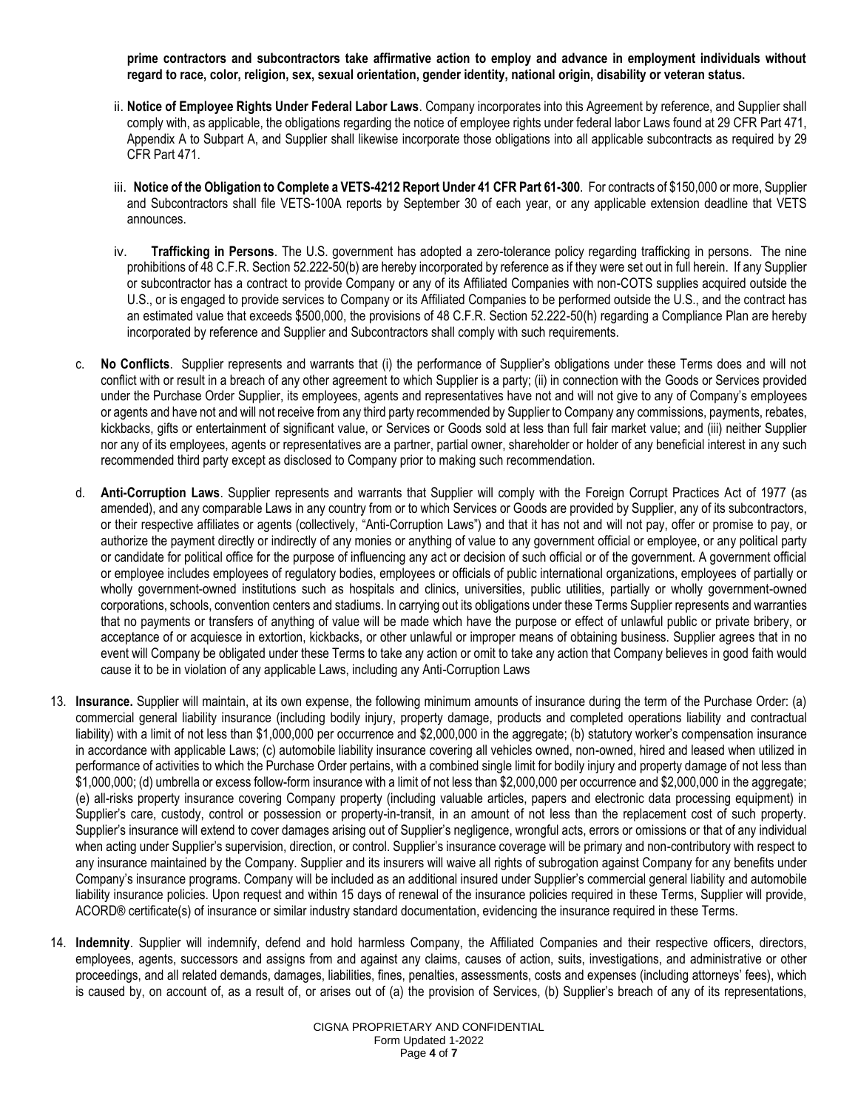**prime contractors and subcontractors take affirmative action to employ and advance in employment individuals without regard to race, color, religion, sex, sexual orientation, gender identity, national origin, disability or veteran status.**

- ii. **Notice of Employee Rights Under Federal Labor Laws**. Company incorporates into this Agreement by reference, and Supplier shall comply with, as applicable, the obligations regarding the notice of employee rights under federal labor Laws found at 29 CFR Part 471, Appendix A to Subpart A, and Supplier shall likewise incorporate those obligations into all applicable subcontracts as required by 29 CFR Part 471.
- iii. **Notice of the Obligation to Complete a VETS-4212 Report Under 41 CFR Part 61-300**. For contracts of \$150,000 or more, Supplier and Subcontractors shall file VETS-100A reports by September 30 of each year, or any applicable extension deadline that VETS announces.
- iv. **Trafficking in Persons**. The U.S. government has adopted a zero-tolerance policy regarding trafficking in persons. The nine prohibitions of 48 C.F.R. Section 52.222-50(b) are hereby incorporated by reference as if they were set out in full herein. If any Supplier or subcontractor has a contract to provide Company or any of its Affiliated Companies with non-COTS supplies acquired outside the U.S., or is engaged to provide services to Company or its Affiliated Companies to be performed outside the U.S., and the contract has an estimated value that exceeds \$500,000, the provisions of 48 C.F.R. Section 52.222-50(h) regarding a Compliance Plan are hereby incorporated by reference and Supplier and Subcontractors shall comply with such requirements.
- c. **No Conflicts**. Supplier represents and warrants that (i) the performance of Supplier's obligations under these Terms does and will not conflict with or result in a breach of any other agreement to which Supplier is a party; (ii) in connection with the Goods or Services provided under the Purchase Order Supplier, its employees, agents and representatives have not and will not give to any of Company's employees or agents and have not and will not receive from any third party recommended by Supplier to Company any commissions, payments, rebates, kickbacks, gifts or entertainment of significant value, or Services or Goods sold at less than full fair market value; and (iii) neither Supplier nor any of its employees, agents or representatives are a partner, partial owner, shareholder or holder of any beneficial interest in any such recommended third party except as disclosed to Company prior to making such recommendation.
- d. **Anti-Corruption Laws**. Supplier represents and warrants that Supplier will comply with the Foreign Corrupt Practices Act of 1977 (as amended), and any comparable Laws in any country from or to which Services or Goods are provided by Supplier, any of its subcontractors, or their respective affiliates or agents (collectively, "Anti-Corruption Laws") and that it has not and will not pay, offer or promise to pay, or authorize the payment directly or indirectly of any monies or anything of value to any government official or employee, or any political party or candidate for political office for the purpose of influencing any act or decision of such official or of the government. A government official or employee includes employees of regulatory bodies, employees or officials of public international organizations, employees of partially or wholly government-owned institutions such as hospitals and clinics, universities, public utilities, partially or wholly government-owned corporations, schools, convention centers and stadiums. In carrying out its obligations under these Terms Supplier represents and warranties that no payments or transfers of anything of value will be made which have the purpose or effect of unlawful public or private bribery, or acceptance of or acquiesce in extortion, kickbacks, or other unlawful or improper means of obtaining business. Supplier agrees that in no event will Company be obligated under these Terms to take any action or omit to take any action that Company believes in good faith would cause it to be in violation of any applicable Laws, including any Anti-Corruption Laws
- 13. **Insurance.** Supplier will maintain, at its own expense, the following minimum amounts of insurance during the term of the Purchase Order: (a) commercial general liability insurance (including bodily injury, property damage, products and completed operations liability and contractual liability) with a limit of not less than \$1,000,000 per occurrence and \$2,000,000 in the aggregate; (b) statutory worker's compensation insurance in accordance with applicable Laws; (c) automobile liability insurance covering all vehicles owned, non-owned, hired and leased when utilized in performance of activities to which the Purchase Order pertains, with a combined single limit for bodily injury and property damage of not less than \$1,000,000; (d) umbrella or excess follow-form insurance with a limit of not less than \$2,000,000 per occurrence and \$2,000,000 in the aggregate; (e) all-risks property insurance covering Company property (including valuable articles, papers and electronic data processing equipment) in Supplier's care, custody, control or possession or property-in-transit, in an amount of not less than the replacement cost of such property. Supplier's insurance will extend to cover damages arising out of Supplier's negligence, wrongful acts, errors or omissions or that of any individual when acting under Supplier's supervision, direction, or control. Supplier's insurance coverage will be primary and non-contributory with respect to any insurance maintained by the Company. Supplier and its insurers will waive all rights of subrogation against Company for any benefits under Company's insurance programs. Company will be included as an additional insured under Supplier's commercial general liability and automobile liability insurance policies. Upon request and within 15 days of renewal of the insurance policies required in these Terms, Supplier will provide, ACORD® certificate(s) of insurance or similar industry standard documentation, evidencing the insurance required in these Terms.
- 14. **Indemnity**. Supplier will indemnify, defend and hold harmless Company, the Affiliated Companies and their respective officers, directors, employees, agents, successors and assigns from and against any claims, causes of action, suits, investigations, and administrative or other proceedings, and all related demands, damages, liabilities, fines, penalties, assessments, costs and expenses (including attorneys' fees), which is caused by, on account of, as a result of, or arises out of (a) the provision of Services, (b) Supplier's breach of any of its representations,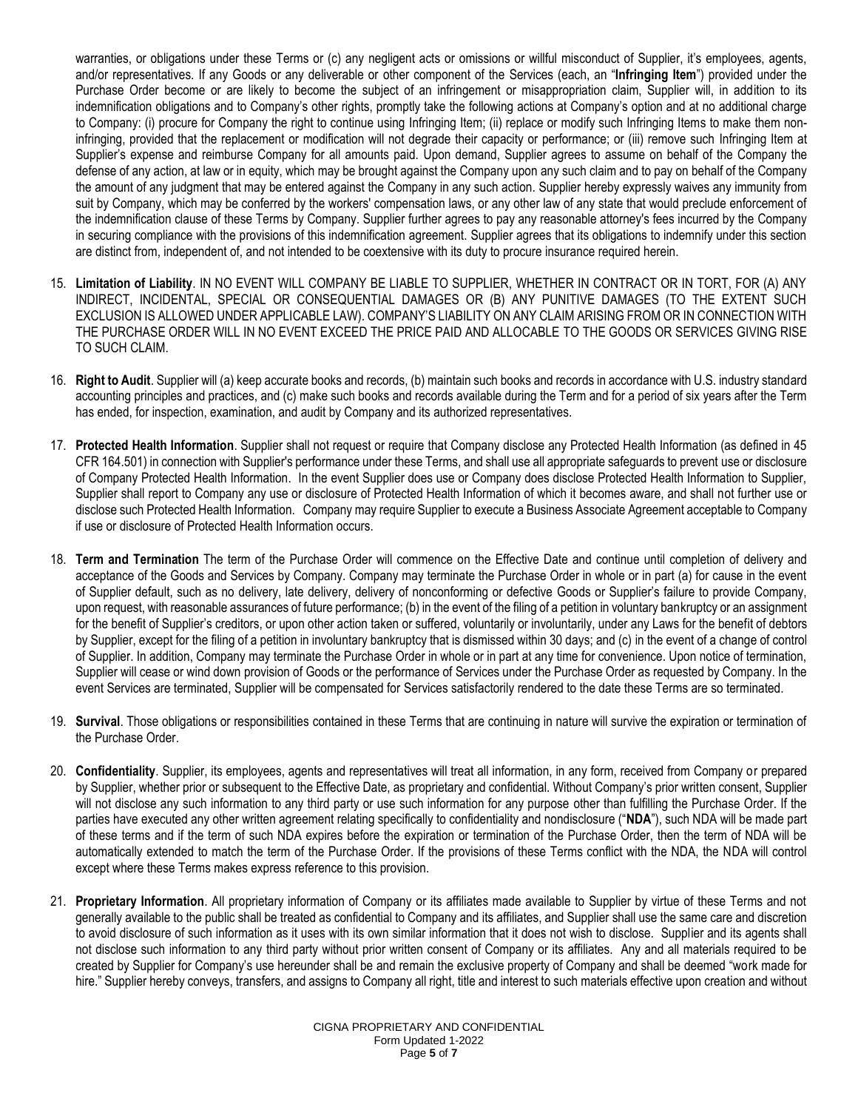warranties, or obligations under these Terms or (c) any negligent acts or omissions or willful misconduct of Supplier, it's employees, agents, and/or representatives. If any Goods or any deliverable or other component of the Services (each, an "**Infringing Item**") provided under the Purchase Order become or are likely to become the subject of an infringement or misappropriation claim, Supplier will, in addition to its indemnification obligations and to Company's other rights, promptly take the following actions at Company's option and at no additional charge to Company: (i) procure for Company the right to continue using Infringing Item; (ii) replace or modify such Infringing Items to make them noninfringing, provided that the replacement or modification will not degrade their capacity or performance; or (iii) remove such Infringing Item at Supplier's expense and reimburse Company for all amounts paid. Upon demand, Supplier agrees to assume on behalf of the Company the defense of any action, at law or in equity, which may be brought against the Company upon any such claim and to pay on behalf of the Company the amount of any judgment that may be entered against the Company in any such action. Supplier hereby expressly waives any immunity from suit by Company, which may be conferred by the workers' compensation laws, or any other law of any state that would preclude enforcement of the indemnification clause of these Terms by Company. Supplier further agrees to pay any reasonable attorney's fees incurred by the Company in securing compliance with the provisions of this indemnification agreement. Supplier agrees that its obligations to indemnify under this section are distinct from, independent of, and not intended to be coextensive with its duty to procure insurance required herein.

- 15. **Limitation of Liability**. IN NO EVENT WILL COMPANY BE LIABLE TO SUPPLIER, WHETHER IN CONTRACT OR IN TORT, FOR (A) ANY INDIRECT, INCIDENTAL, SPECIAL OR CONSEQUENTIAL DAMAGES OR (B) ANY PUNITIVE DAMAGES (TO THE EXTENT SUCH EXCLUSION IS ALLOWED UNDER APPLICABLE LAW). COMPANY'S LIABILITY ON ANY CLAIM ARISING FROM OR IN CONNECTION WITH THE PURCHASE ORDER WILL IN NO EVENT EXCEED THE PRICE PAID AND ALLOCABLE TO THE GOODS OR SERVICES GIVING RISE TO SUCH CLAIM.
- 16. **Right to Audit**. Supplier will (a) keep accurate books and records, (b) maintain such books and records in accordance with U.S. industry standard accounting principles and practices, and (c) make such books and records available during the Term and for a period of six years after the Term has ended, for inspection, examination, and audit by Company and its authorized representatives.
- 17. **Protected Health Information**. Supplier shall not request or require that Company disclose any Protected Health Information (as defined in 45 CFR 164.501) in connection with Supplier's performance under these Terms, and shall use all appropriate safeguards to prevent use or disclosure of Company Protected Health Information. In the event Supplier does use or Company does disclose Protected Health Information to Supplier, Supplier shall report to Company any use or disclosure of Protected Health Information of which it becomes aware, and shall not further use or disclose such Protected Health Information. Company may require Supplier to execute a Business Associate Agreement acceptable to Company if use or disclosure of Protected Health Information occurs.
- 18. **Term and Termination** The term of the Purchase Order will commence on the Effective Date and continue until completion of delivery and acceptance of the Goods and Services by Company. Company may terminate the Purchase Order in whole or in part (a) for cause in the event of Supplier default, such as no delivery, late delivery, delivery of nonconforming or defective Goods or Supplier's failure to provide Company, upon request, with reasonable assurances of future performance; (b) in the event of the filing of a petition in voluntary bankruptcy or an assignment for the benefit of Supplier's creditors, or upon other action taken or suffered, voluntarily or involuntarily, under any Laws for the benefit of debtors by Supplier, except for the filing of a petition in involuntary bankruptcy that is dismissed within 30 days; and (c) in the event of a change of control of Supplier. In addition, Company may terminate the Purchase Order in whole or in part at any time for convenience. Upon notice of termination, Supplier will cease or wind down provision of Goods or the performance of Services under the Purchase Order as requested by Company. In the event Services are terminated, Supplier will be compensated for Services satisfactorily rendered to the date these Terms are so terminated.
- 19. **Survival**. Those obligations or responsibilities contained in these Terms that are continuing in nature will survive the expiration or termination of the Purchase Order.
- 20. **Confidentiality**. Supplier, its employees, agents and representatives will treat all information, in any form, received from Company or prepared by Supplier, whether prior or subsequent to the Effective Date, as proprietary and confidential. Without Company's prior written consent, Supplier will not disclose any such information to any third party or use such information for any purpose other than fulfilling the Purchase Order. If the parties have executed any other written agreement relating specifically to confidentiality and nondisclosure ("**NDA**"), such NDA will be made part of these terms and if the term of such NDA expires before the expiration or termination of the Purchase Order, then the term of NDA will be automatically extended to match the term of the Purchase Order. If the provisions of these Terms conflict with the NDA, the NDA will control except where these Terms makes express reference to this provision.
- 21. **Proprietary Information**. All proprietary information of Company or its affiliates made available to Supplier by virtue of these Terms and not generally available to the public shall be treated as confidential to Company and its affiliates, and Supplier shall use the same care and discretion to avoid disclosure of such information as it uses with its own similar information that it does not wish to disclose. Supplier and its agents shall not disclose such information to any third party without prior written consent of Company or its affiliates. Any and all materials required to be created by Supplier for Company's use hereunder shall be and remain the exclusive property of Company and shall be deemed "work made for hire." Supplier hereby conveys, transfers, and assigns to Company all right, title and interest to such materials effective upon creation and without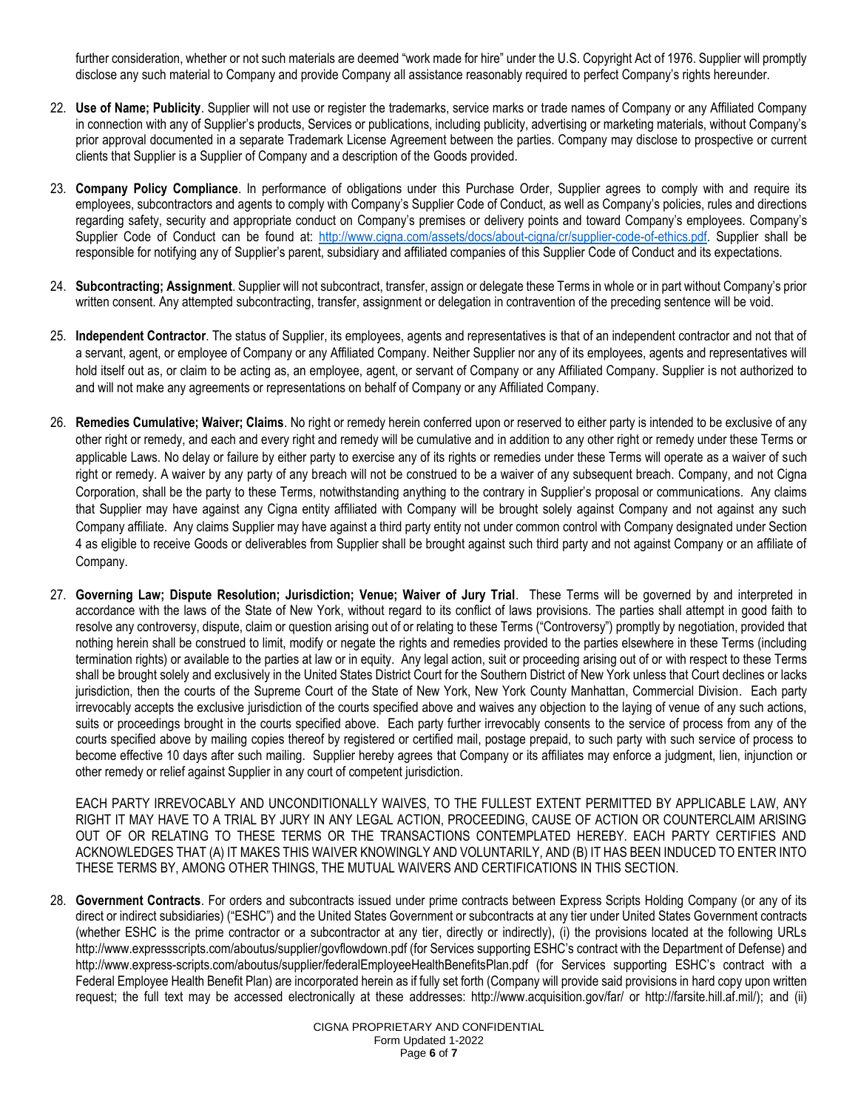further consideration, whether or not such materials are deemed "work made for hire" under the U.S. Copyright Act of 1976. Supplier will promptly disclose any such material to Company and provide Company all assistance reasonably required to perfect Company's rights hereunder.

- 22. **Use of Name; Publicity**. Supplier will not use or register the trademarks, service marks or trade names of Company or any Affiliated Company in connection with any of Supplier's products, Services or publications, including publicity, advertising or marketing materials, without Company's prior approval documented in a separate Trademark License Agreement between the parties. Company may disclose to prospective or current clients that Supplier is a Supplier of Company and a description of the Goods provided.
- 23. **Company Policy Compliance**. In performance of obligations under this Purchase Order, Supplier agrees to comply with and require its employees, subcontractors and agents to comply with Company's Supplier Code of Conduct, as well as Company's policies, rules and directions regarding safety, security and appropriate conduct on Company's premises or delivery points and toward Company's employees. Company's Supplier Code of Conduct can be found at: [http://www.cigna.com/assets/docs/about-cigna/cr/supplier-code-of-ethics.pdf.](http://www.cigna.com/assets/docs/about-cigna/cr/supplier-code-of-ethics.pdf) Supplier shall be responsible for notifying any of Supplier's parent, subsidiary and affiliated companies of this Supplier Code of Conduct and its expectations.
- 24. **Subcontracting; Assignment**. Supplier will not subcontract, transfer, assign or delegate these Terms in whole or in part without Company's prior written consent. Any attempted subcontracting, transfer, assignment or delegation in contravention of the preceding sentence will be void.
- 25. **Independent Contractor**. The status of Supplier, its employees, agents and representatives is that of an independent contractor and not that of a servant, agent, or employee of Company or any Affiliated Company. Neither Supplier nor any of its employees, agents and representatives will hold itself out as, or claim to be acting as, an employee, agent, or servant of Company or any Affiliated Company. Supplier is not authorized to and will not make any agreements or representations on behalf of Company or any Affiliated Company.
- 26. **Remedies Cumulative; Waiver; Claims**. No right or remedy herein conferred upon or reserved to either party is intended to be exclusive of any other right or remedy, and each and every right and remedy will be cumulative and in addition to any other right or remedy under these Terms or applicable Laws. No delay or failure by either party to exercise any of its rights or remedies under these Terms will operate as a waiver of such right or remedy. A waiver by any party of any breach will not be construed to be a waiver of any subsequent breach. Company, and not Cigna Corporation, shall be the party to these Terms, notwithstanding anything to the contrary in Supplier's proposal or communications. Any claims that Supplier may have against any Cigna entity affiliated with Company will be brought solely against Company and not against any such Company affiliate. Any claims Supplier may have against a third party entity not under common control with Company designated under Section 4 as eligible to receive Goods or deliverables from Supplier shall be brought against such third party and not against Company or an affiliate of Company.
- 27. **Governing Law; Dispute Resolution; Jurisdiction; Venue; Waiver of Jury Trial**. These Terms will be governed by and interpreted in accordance with the laws of the State of New York, without regard to its conflict of laws provisions. The parties shall attempt in good faith to resolve any controversy, dispute, claim or question arising out of or relating to these Terms ("Controversy") promptly by negotiation, provided that nothing herein shall be construed to limit, modify or negate the rights and remedies provided to the parties elsewhere in these Terms (including termination rights) or available to the parties at law or in equity. Any legal action, suit or proceeding arising out of or with respect to these Terms shall be brought solely and exclusively in the United States District Court for the Southern District of New York unless that Court declines or lacks jurisdiction, then the courts of the Supreme Court of the State of New York, New York County Manhattan, Commercial Division. Each party irrevocably accepts the exclusive jurisdiction of the courts specified above and waives any objection to the laying of venue of any such actions, suits or proceedings brought in the courts specified above. Each party further irrevocably consents to the service of process from any of the courts specified above by mailing copies thereof by registered or certified mail, postage prepaid, to such party with such service of process to become effective 10 days after such mailing. Supplier hereby agrees that Company or its affiliates may enforce a judgment, lien, injunction or other remedy or relief against Supplier in any court of competent jurisdiction.

EACH PARTY IRREVOCABLY AND UNCONDITIONALLY WAIVES, TO THE FULLEST EXTENT PERMITTED BY APPLICABLE LAW, ANY RIGHT IT MAY HAVE TO A TRIAL BY JURY IN ANY LEGAL ACTION, PROCEEDING, CAUSE OF ACTION OR COUNTERCLAIM ARISING OUT OF OR RELATING TO THESE TERMS OR THE TRANSACTIONS CONTEMPLATED HEREBY. EACH PARTY CERTIFIES AND ACKNOWLEDGES THAT (A) IT MAKES THIS WAIVER KNOWINGLY AND VOLUNTARILY, AND (B) IT HAS BEEN INDUCED TO ENTER INTO THESE TERMS BY, AMONG OTHER THINGS, THE MUTUAL WAIVERS AND CERTIFICATIONS IN THIS SECTION.

28. **Government Contracts**. For orders and subcontracts issued under prime contracts between Express Scripts Holding Company (or any of its direct or indirect subsidiaries) ("ESHC") and the United States Government or subcontracts at any tier under United States Government contracts (whether ESHC is the prime contractor or a subcontractor at any tier, directly or indirectly), (i) the provisions located at the following URLs http://www.expressscripts.com/aboutus/supplier/govflowdown.pdf (for Services supporting ESHC's contract with the Department of Defense) and http://www.express-scripts.com/aboutus/supplier/federalEmployeeHealthBenefitsPlan.pdf (for Services supporting ESHC's contract with a Federal Employee Health Benefit Plan) are incorporated herein as if fully set forth (Company will provide said provisions in hard copy upon written request; the full text may be accessed electronically at these addresses: http://www.acquisition.gov/far/ or http://farsite.hill.af.mil/); and (ii)